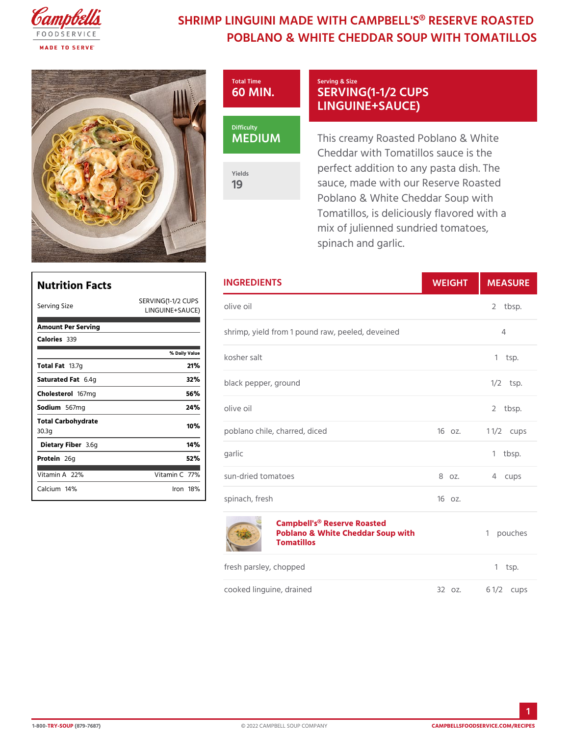## SHRIMP LINGUINI MADE WITH CAMPBELL'S POBLANO & WHITE CHEDDAR SOUP W



19

## Serving & Size SERVING(1-1/2 CUPS LINGUINE+SAUCE)

This creamy Roasted Poblano & Cheddar with Tomatillos sauce perfect addition to any pasta di sauce, made with our Reserve F Poblano & White Cheddar Soup Tomatillos, is deliciously flavor mix of julienned sundried tomat spinach and garlic.

| <b>Nutrition Facts</b>                 |                                                          | <b>INGREDIENTS</b>                                                                                  | WEIGH  | MEASU        |
|----------------------------------------|----------------------------------------------------------|-----------------------------------------------------------------------------------------------------|--------|--------------|
| Serving Size                           | SERVING(1-1/2 CUPS<br>LINGUINE+SAUCE <sup>DIVE</sup> 011 |                                                                                                     |        | 2 tbsp.      |
| Amount Per Serving<br>$C$ alori $6839$ |                                                          | shrimp, yield from 1 pound raw, peeled, devein4ed                                                   |        |              |
|                                        | % Daily Value                                            | kosher salt                                                                                         |        | $1$ tsp.     |
| Total Fa3.7g                           | 21%                                                      |                                                                                                     |        |              |
| Saturated 6F. 4 tg                     | 32%                                                      | black pepper, ground                                                                                |        | $1/2$ tsp.   |
| Cholestet 67mg                         | 56%                                                      |                                                                                                     |        |              |
| Sodium 667mg                           | 24%                                                      | olive oil                                                                                           |        | 2 tbsp.      |
| Total Carbohydrate<br>30.3g            | 10%                                                      | poblano chile, charred, diced                                                                       | 160z.  | 1 $1/2$ cups |
| Dietary F3ib⪚                          | 14%                                                      |                                                                                                     |        |              |
| Protei <sub>26g</sub>                  | 52%                                                      | garlic                                                                                              |        | 1 tbsp.      |
| Vitamin2 $R$ %                         | $V$ itamin7 $C$ %                                        | sun-dried tomatoes                                                                                  | 8 oz.  | 4 cups       |
| Calcium <sup>4</sup> %                 | $l$ ron 18 $%$                                           | spinach, fresh                                                                                      | 160z.  |              |
|                                        |                                                          | Campbell's <sup>®</sup> Reserve Roasted<br>Poblano & White Cheddar Soup with1 pouches<br>Tomatillos |        |              |
|                                        |                                                          | fresh parsley, chopped                                                                              |        | $1$ tsp.     |
|                                        |                                                          | cooked linguine, drained                                                                            | 32 oz. | 6 $1/2c$ ups |